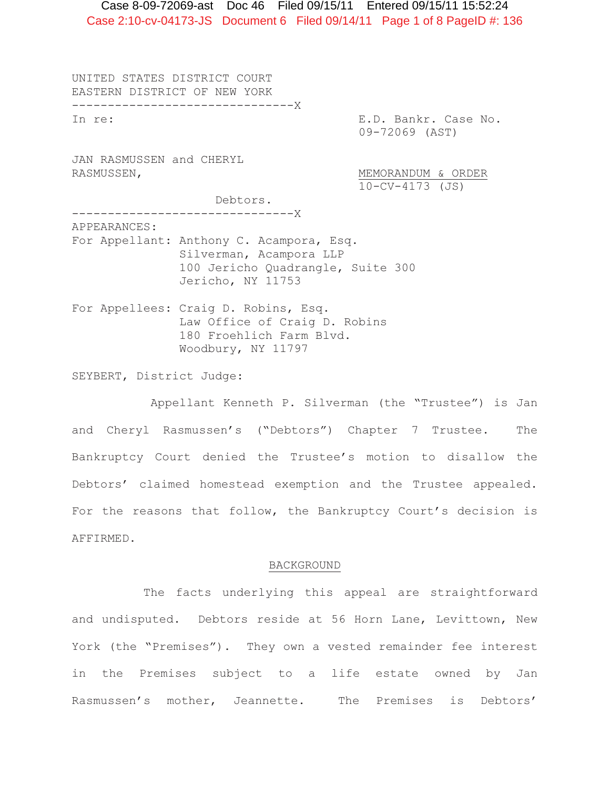Case 2:10-cv-04173-JS Document 6 Filed 09/14/11 Page 1 of 8 PageID #: 136 Case 8-09-72069-ast Doc 46 Filed 09/15/11 Entered 09/15/11 15:52:24

UNITED STATES DISTRICT COURT EASTERN DISTRICT OF NEW YORK -------------------------------X In re: E.D. Bankr. Case No. 09-72069 (AST) JAN RASMUSSEN and CHERYL RASMUSSEN,  $MENORANDUM & ORDER$  10-CV-4173 (JS) Debtors. -------------------------------X APPEARANCES: For Appellant: Anthony C. Acampora, Esq. Silverman, Acampora LLP 100 Jericho Quadrangle, Suite 300 Jericho, NY 11753 For Appellees: Craig D. Robins, Esq. Law Office of Craig D. Robins 180 Froehlich Farm Blvd. Woodbury, NY 11797

SEYBERT, District Judge:

 Appellant Kenneth P. Silverman (the "Trustee") is Jan and Cheryl Rasmussen's ("Debtors") Chapter 7 Trustee. The Bankruptcy Court denied the Trustee's motion to disallow the Debtors' claimed homestead exemption and the Trustee appealed. For the reasons that follow, the Bankruptcy Court's decision is AFFIRMED.

#### BACKGROUND

 The facts underlying this appeal are straightforward and undisputed. Debtors reside at 56 Horn Lane, Levittown, New York (the "Premises"). They own a vested remainder fee interest in the Premises subject to a life estate owned by Jan Rasmussen's mother, Jeannette. The Premises is Debtors'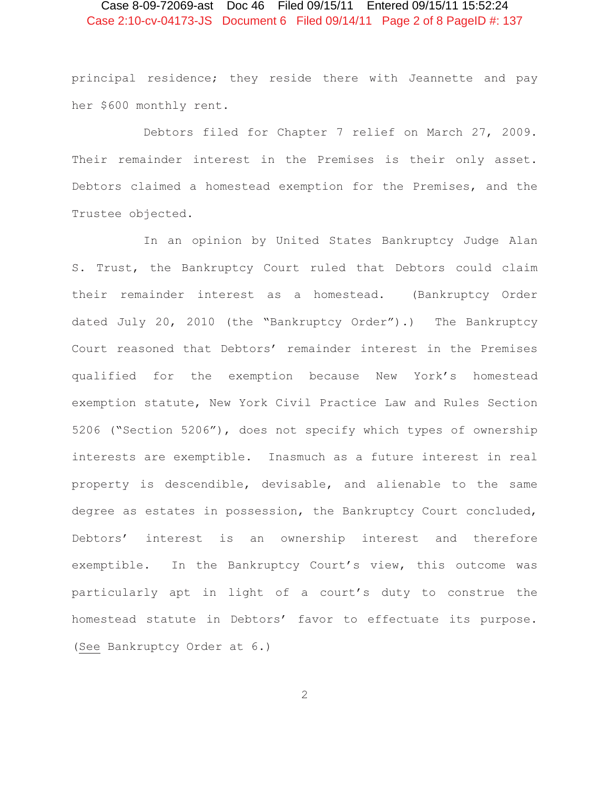# Case 2:10-cv-04173-JS Document 6 Filed 09/14/11 Page 2 of 8 PageID #: 137 Case 8-09-72069-ast Doc 46 Filed 09/15/11 Entered 09/15/11 15:52:24

principal residence; they reside there with Jeannette and pay her \$600 monthly rent.

 Debtors filed for Chapter 7 relief on March 27, 2009. Their remainder interest in the Premises is their only asset. Debtors claimed a homestead exemption for the Premises, and the Trustee objected.

 In an opinion by United States Bankruptcy Judge Alan S. Trust, the Bankruptcy Court ruled that Debtors could claim their remainder interest as a homestead. (Bankruptcy Order dated July 20, 2010 (the "Bankruptcy Order").) The Bankruptcy Court reasoned that Debtors' remainder interest in the Premises qualified for the exemption because New York's homestead exemption statute, New York Civil Practice Law and Rules Section 5206 ("Section 5206"), does not specify which types of ownership interests are exemptible. Inasmuch as a future interest in real property is descendible, devisable, and alienable to the same degree as estates in possession, the Bankruptcy Court concluded, Debtors' interest is an ownership interest and therefore exemptible. In the Bankruptcy Court's view, this outcome was particularly apt in light of a court's duty to construe the homestead statute in Debtors' favor to effectuate its purpose. (See Bankruptcy Order at 6.)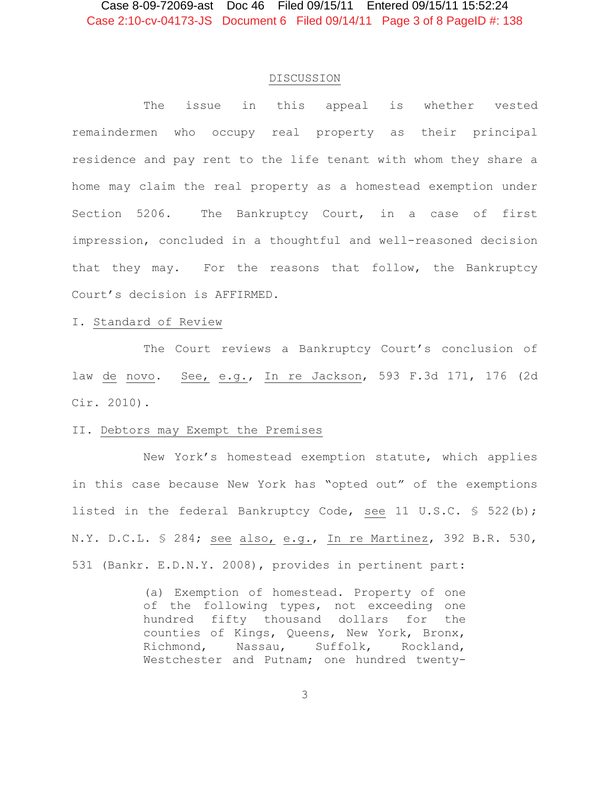#### DISCUSSION

 The issue in this appeal is whether vested remaindermen who occupy real property as their principal residence and pay rent to the life tenant with whom they share a home may claim the real property as a homestead exemption under Section 5206. The Bankruptcy Court, in a case of first impression, concluded in a thoughtful and well-reasoned decision that they may. For the reasons that follow, the Bankruptcy Court's decision is AFFIRMED.

#### I. Standard of Review

 The Court reviews a Bankruptcy Court's conclusion of law de novo. See, e.g., In re Jackson, 593 F.3d 171, 176 (2d Cir. 2010).

#### II. Debtors may Exempt the Premises

 New York's homestead exemption statute, which applies in this case because New York has "opted out" of the exemptions listed in the federal Bankruptcy Code, see 11 U.S.C. § 522(b); N.Y. D.C.L. § 284; see also, e.g., In re Martinez, 392 B.R. 530, 531 (Bankr. E.D.N.Y. 2008), provides in pertinent part:

> (a) Exemption of homestead. Property of one of the following types, not exceeding one hundred fifty thousand dollars for the counties of Kings, Queens, New York, Bronx, Richmond, Nassau, Suffolk, Rockland, Westchester and Putnam; one hundred twenty-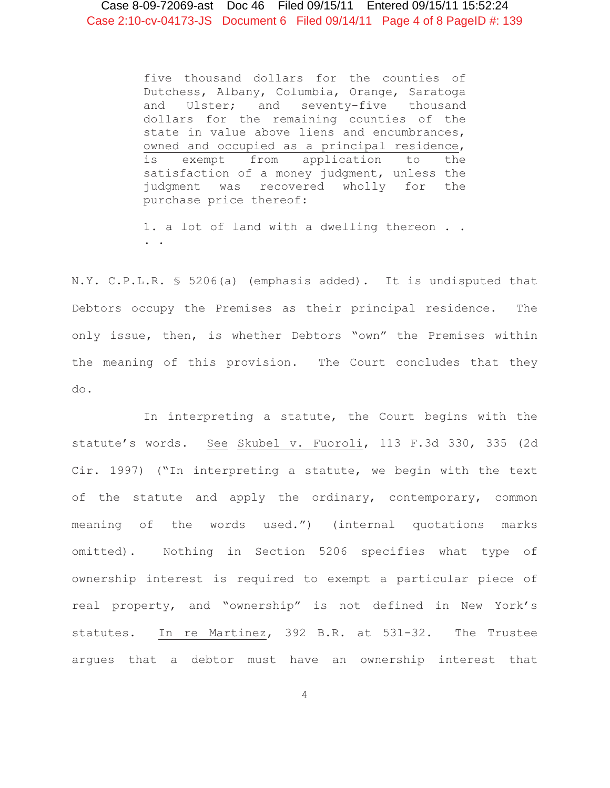five thousand dollars for the counties of Dutchess, Albany, Columbia, Orange, Saratoga and Ulster; and seventy-five thousand dollars for the remaining counties of the state in value above liens and encumbrances, owned and occupied as a principal residence, is exempt from application to the satisfaction of a money judgment, unless the judgment was recovered wholly for the purchase price thereof:

1. a lot of land with a dwelling thereon . . . .

N.Y. C.P.L.R. § 5206(a) (emphasis added). It is undisputed that Debtors occupy the Premises as their principal residence. The only issue, then, is whether Debtors "own" the Premises within the meaning of this provision. The Court concludes that they do.

 In interpreting a statute, the Court begins with the statute's words. See Skubel v. Fuoroli, 113 F.3d 330, 335 (2d Cir. 1997) ("In interpreting a statute, we begin with the text of the statute and apply the ordinary, contemporary, common meaning of the words used.") (internal quotations marks omitted). Nothing in Section 5206 specifies what type of ownership interest is required to exempt a particular piece of real property, and "ownership" is not defined in New York's statutes. In re Martinez, 392 B.R. at 531-32. The Trustee argues that a debtor must have an ownership interest that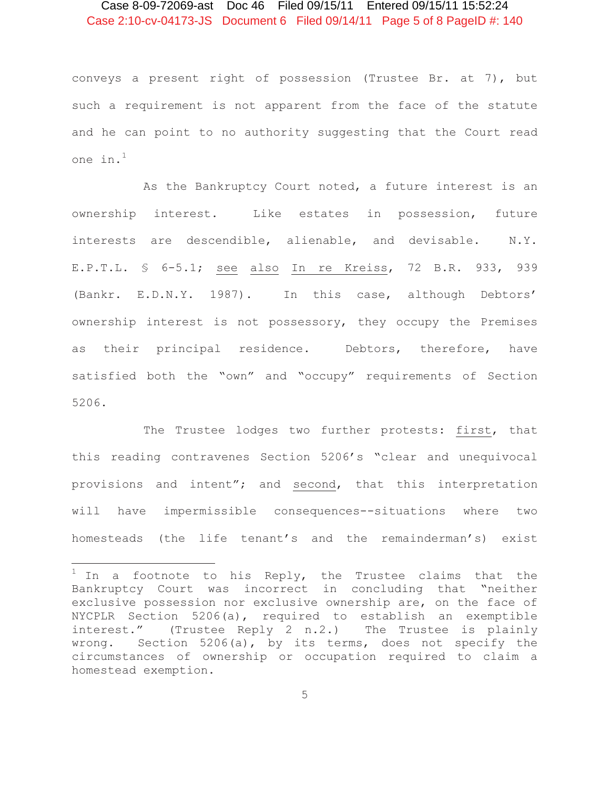# Case 2:10-cv-04173-JS Document 6 Filed 09/14/11 Page 5 of 8 PageID #: 140 Case 8-09-72069-ast Doc 46 Filed 09/15/11 Entered 09/15/11 15:52:24

conveys a present right of possession (Trustee Br. at 7), but such a requirement is not apparent from the face of the statute and he can point to no authority suggesting that the Court read one in.<sup>1</sup>

 As the Bankruptcy Court noted, a future interest is an ownership interest. Like estates in possession, future interests are descendible, alienable, and devisable. N.Y. E.P.T.L. § 6-5.1; see also In re Kreiss, 72 B.R. 933, 939 (Bankr. E.D.N.Y. 1987). In this case, although Debtors' ownership interest is not possessory, they occupy the Premises as their principal residence. Debtors, therefore, have satisfied both the "own" and "occupy" requirements of Section 5206.

 The Trustee lodges two further protests: first, that this reading contravenes Section 5206's "clear and unequivocal provisions and intent"; and second, that this interpretation will have impermissible consequences--situations where two homesteads (the life tenant's and the remainderman's) exist

 $1$  In a footnote to his Reply, the Trustee claims that the Bankruptcy Court was incorrect in concluding that "neither exclusive possession nor exclusive ownership are, on the face of NYCPLR Section 5206(a), required to establish an exemptible interest." (Trustee Reply 2 n.2.) The Trustee is plainly wrong. Section 5206(a), by its terms, does not specify the circumstances of ownership or occupation required to claim a homestead exemption.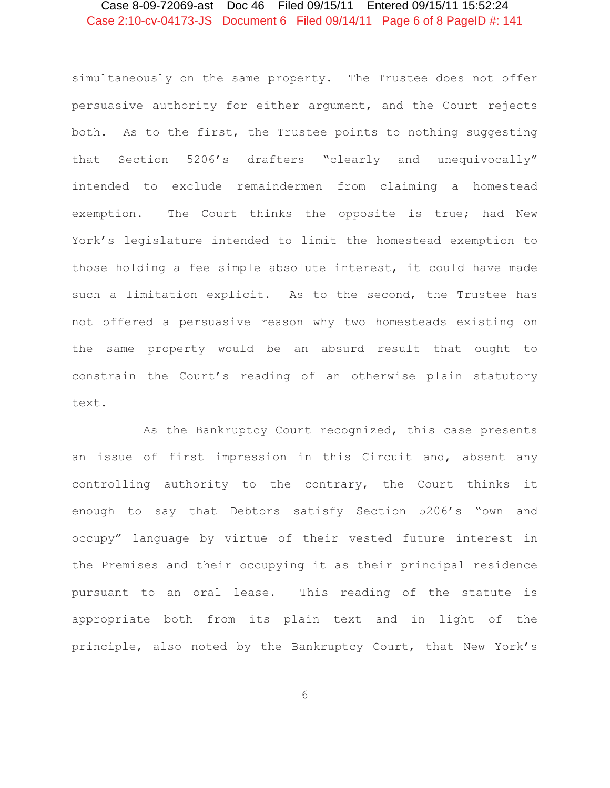# Case 2:10-cv-04173-JS Document 6 Filed 09/14/11 Page 6 of 8 PageID #: 141 Case 8-09-72069-ast Doc 46 Filed 09/15/11 Entered 09/15/11 15:52:24

simultaneously on the same property. The Trustee does not offer persuasive authority for either argument, and the Court rejects both. As to the first, the Trustee points to nothing suggesting that Section 5206's drafters "clearly and unequivocally" intended to exclude remaindermen from claiming a homestead exemption. The Court thinks the opposite is true; had New York's legislature intended to limit the homestead exemption to those holding a fee simple absolute interest, it could have made such a limitation explicit. As to the second, the Trustee has not offered a persuasive reason why two homesteads existing on the same property would be an absurd result that ought to constrain the Court's reading of an otherwise plain statutory text.

 As the Bankruptcy Court recognized, this case presents an issue of first impression in this Circuit and, absent any controlling authority to the contrary, the Court thinks it enough to say that Debtors satisfy Section 5206's "own and occupy" language by virtue of their vested future interest in the Premises and their occupying it as their principal residence pursuant to an oral lease. This reading of the statute is appropriate both from its plain text and in light of the principle, also noted by the Bankruptcy Court, that New York's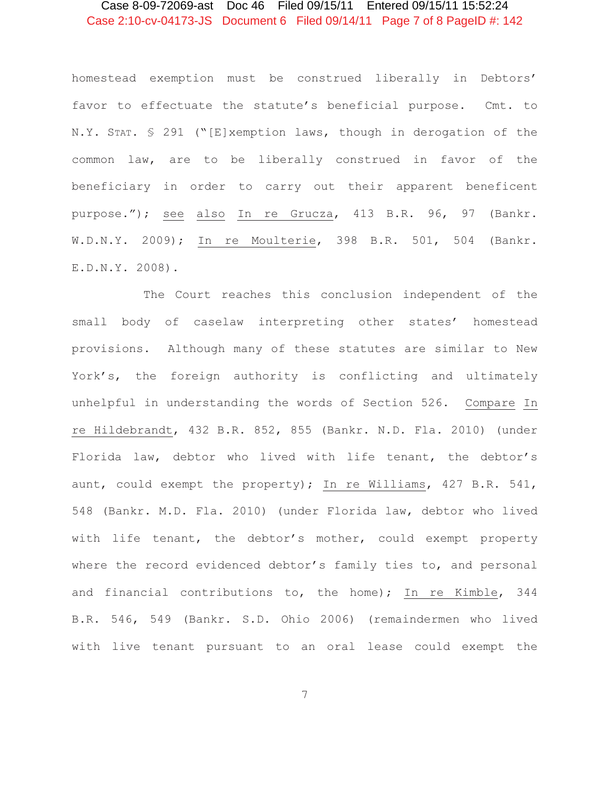# Case 2:10-cv-04173-JS Document 6 Filed 09/14/11 Page 7 of 8 PageID #: 142 Case 8-09-72069-ast Doc 46 Filed 09/15/11 Entered 09/15/11 15:52:24

homestead exemption must be construed liberally in Debtors' favor to effectuate the statute's beneficial purpose. Cmt. to N.Y. STAT. § 291 ("[E]xemption laws, though in derogation of the common law, are to be liberally construed in favor of the beneficiary in order to carry out their apparent beneficent purpose."); see also In re Grucza, 413 B.R. 96, 97 (Bankr. W.D.N.Y. 2009); In re Moulterie, 398 B.R. 501, 504 (Bankr. E.D.N.Y. 2008).

 The Court reaches this conclusion independent of the small body of caselaw interpreting other states' homestead provisions. Although many of these statutes are similar to New York's, the foreign authority is conflicting and ultimately unhelpful in understanding the words of Section 526. Compare In re Hildebrandt, 432 B.R. 852, 855 (Bankr. N.D. Fla. 2010) (under Florida law, debtor who lived with life tenant, the debtor's aunt, could exempt the property); In re Williams, 427 B.R. 541, 548 (Bankr. M.D. Fla. 2010) (under Florida law, debtor who lived with life tenant, the debtor's mother, could exempt property where the record evidenced debtor's family ties to, and personal and financial contributions to, the home); In re Kimble, 344 B.R. 546, 549 (Bankr. S.D. Ohio 2006) (remaindermen who lived with live tenant pursuant to an oral lease could exempt the